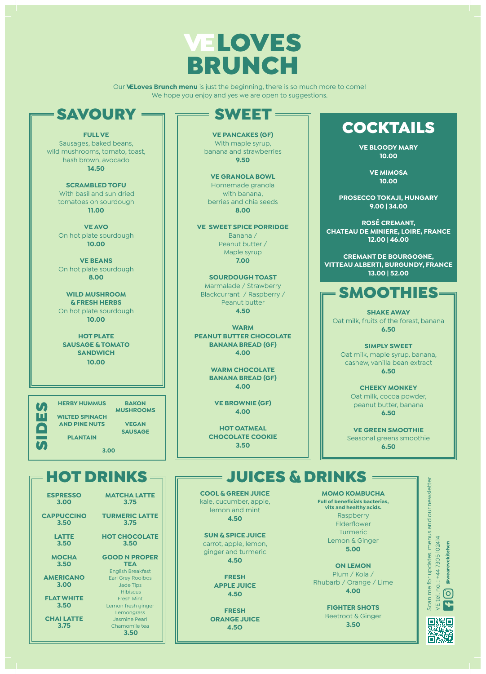

Our **VELoves Brunch menu** is just the beginning, there is so much more to come! We hope you enjoy and yes we are open to suggestions.

#### **SAVOURY =**

**FULL VE** Sausages, baked beans, wild mushrooms, tomato, toast, hash brown, avocado **14.50**

> **SCRAMBLED TOFU** With basil and sun dried tomatoes on sourdough **11.00**

**VE AVO**  On hot plate sourdough **10.00**

**VE BEANS**  On hot plate sourdough **8.00**

**WILD MUSHROOM & FRESH HERBS**  On hot plate sourdough **10.00**

**HOT PLATE SAUSAGE & TOMATO SANDWICH 10.00**

**Side**<br>Di

**HERBY HUMMUS WILTED SPINACH AND PINE NUTS PLANTAIN BAKON MUSHROOMS VEGAN SAUSAGE**

**3.00**

**ESPRESSO 3.00**

**CAPPUCCINO 3.50**

> **LATTE 3.50**

**MOCHA 3.50**

**AMERICANO 3.00**

**FLAT WHITE 3.50**

**CHAI LATTE 3.75**

**VE PANCAKES (GF)**  With maple syrup, banana and strawberries **9.50**

SWEET

**VE GRANOLA BOWL**  Homemade granola with banana, berries and chia seeds **8.00**

**VE SWEET SPICE PORRIDGE** Banana / Peanut butter / Maple syrup **7.00**

**SOURDOUGH TOAST**  Marmalade / Strawberry Blackcurrant / Raspberry / Peanut butter **4.50**

**WARM PEANUT BUTTER CHOCOLATE BANANA BREAD (GF) 4.00**

> **WARM CHOCOLATE BANANA BREAD (GF) 4.00**

**VE BROWNIE (GF) 4.00**

**HOT OATMEAL CHOCOLATE COOKIE 3.50**

### COCKTAILS

**VE BLOODY MARY 10.00**

> **VE MIMOSA 10.00**

**PROSECCO TOKAJI, HUNGARY 9.00 | 34.00**

**ROSÉ CREMANT, CHATEAU DE MINIERE, LOIRE, FRANCE 12.00 | 46.00**

**CREMANT DE BOURGOGNE, VITTEAU ALBERTI, BURGUNDY, FRANCE 13.00 | 52.00**

#### SMOOTHIES

**SHAKE AWAY** Oat milk, fruits of the forest, banana **6.50**

**SIMPLY SWEET** Oat milk, maple syrup, banana, cashew, vanilla bean extract **6.50**

> **CHEEKY MONKEY** Oat milk, cocoa powder, peanut butter, banana **6.50**

**VE GREEN SMOOTHIE** Seasonal greens smoothie **6.50**

### $=$  HOT DRINKS  $=$   $\equiv$   $\equiv$  JUICES & DRINKS

**COOL & GREEN JUICE**  kale, cucumber, apple, lemon and mint **4.50**

**SUN & SPICE JUICE**  carrot, apple, lemon, ginger and turmeric **4.50** 

> **FRESH APPLE JUICE 4.50**

**FRESH ORANGE JUICE 4.5O**

**MOMO KOMBUCHA Full of beneficials bacterias, vits and healthy acids.** Raspberry Elderflower Turmeric Lemon & Ginger **5.00**

**ON LEMON** Plum / Kola / Rhubarb / Orange / Lime **4.00**

> **FIGHTER SHOTS** Beetroot & Ginger **3.50**





**HOT CHOCOLATE 3.50**

**TEA** English Breakfast Earl Grey Rooibos Jade Tips **Hibiscus** Fresh Mint Lemon fresh ginger Lemongrass

## Jasmine Pearl

**GOOD N PROPER** 

**MATCHA LATTE 3.75 TURMERIC LATTE 3.75** 

Chamomile tea **3.50**